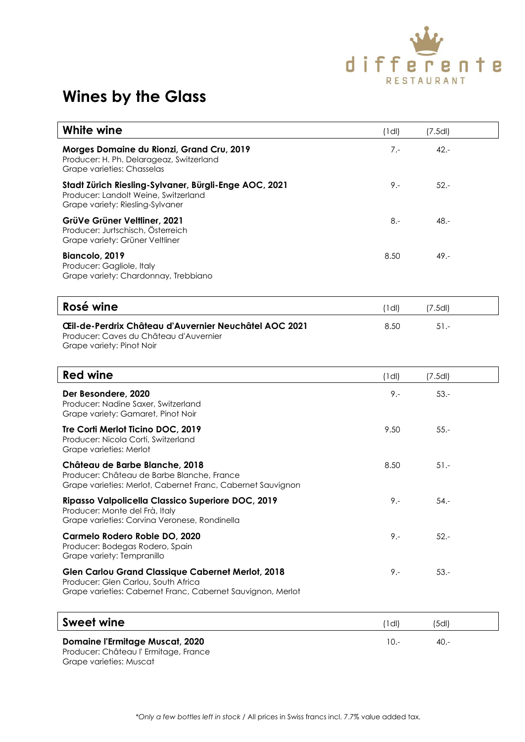

## **Wines by the Glass**

| White wine                                                                                                                                                     | $(1$ dl) | (7.5d)  |  |
|----------------------------------------------------------------------------------------------------------------------------------------------------------------|----------|---------|--|
| Morges Domaine du Rionzi, Grand Cru, 2019<br>Producer: H. Ph. Delarageaz, Switzerland<br>Grape varieties: Chasselas                                            | $7 -$    | $42. -$ |  |
| Stadt Zürich Riesling-Sylvaner, Bürgli-Enge AOC, 2021<br>Producer: Landolt Weine, Switzerland<br>Grape variety: Riesling-Sylvaner                              | $9 -$    | $52 -$  |  |
| GrüVe Grüner Veltliner, 2021<br>Producer: Jurtschisch, Österreich<br>Grape variety: Grüner Veltliner                                                           | $8 -$    | $48. -$ |  |
| Biancolo, 2019<br>Producer: Gagliole, Italy<br>Grape variety: Chardonnay, Trebbiano                                                                            | 8.50     | $49. -$ |  |
| Rosé wine                                                                                                                                                      | $(1$ dl) | (7.5d)  |  |
| CEII-de-Perdrix Château d'Auvernier Neuchâtel AOC 2021<br>Producer: Caves du Château d'Auvernier<br>Grape variety: Pinot Noir                                  | 8.50     | $51 -$  |  |
| <b>Red wine</b>                                                                                                                                                | $(1$ dl) | (7.5d)  |  |
| Der Besondere, 2020<br>Producer: Nadine Saxer, Switzerland<br>Grape variety: Gamaret, Pinot Noir                                                               | $9 -$    | $53. -$ |  |
| Tre Corti Merlot Ticino DOC, 2019<br>Producer: Nicola Corti, Switzerland<br>Grape varieties: Merlot                                                            | 9.50     | $55. -$ |  |
| Château de Barbe Blanche, 2018<br>Producer: Château de Barbe Blanche, France<br>Grape varieties: Merlot, Cabernet Franc, Cabernet Sauvignon                    | 8.50     | $51 -$  |  |
| Ripasso Valpolicella Classico Superiore DOC, 2019<br>Producer: Monte del Frà, Italy<br>Grape varieties: Corvina Veronese, Rondinella                           | $9 -$    | $54. -$ |  |
| Carmelo Rodero Roble DO, 2020<br>Producer: Bodegas Rodero, Spain<br>Grape variety: Tempranillo                                                                 | $9 -$    | $52 -$  |  |
| <b>Glen Carlou Grand Classique Cabernet Merlot, 2018</b><br>Producer: Glen Carlou, South Africa<br>Grape varieties: Cabernet Franc, Cabernet Sauvignon, Merlot | $9 -$    | $53. -$ |  |
| <b>Sweet wine</b>                                                                                                                                              | $(1$ dl) | (5d)    |  |
| <b>Domaine l'Ermitage Muscat, 2020</b><br>Producer: Château l' Ermitage, France                                                                                | $10.-$   | $40. -$ |  |

Grape varieties: Muscat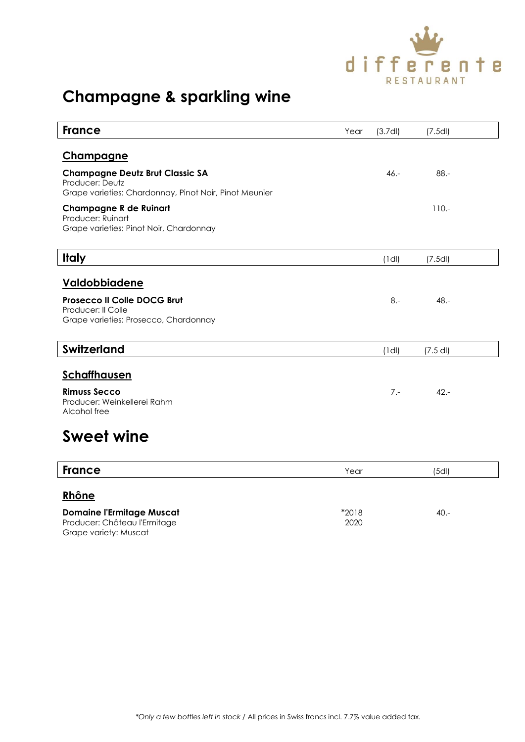

# **Champagne & sparkling wine**

| <b>France</b>                                                                                                       | Year | (3.7d)      | (7.5d)     |  |
|---------------------------------------------------------------------------------------------------------------------|------|-------------|------------|--|
| <u>Champagne</u>                                                                                                    |      |             |            |  |
| <b>Champagne Deutz Brut Classic SA</b><br>Producer: Deutz<br>Grape varieties: Chardonnay, Pinot Noir, Pinot Meunier |      | $46. -$     | $88 -$     |  |
| <b>Champagne R de Ruinart</b><br>Producer: Ruinart<br>Grape varieties: Pinot Noir, Chardonnay                       |      |             | $110. -$   |  |
| <b>Italy</b>                                                                                                        |      | $(1$ dl)    | (7.5d)     |  |
| <b>Valdobbiadene</b><br>Prosecco II Colle DOCG Brut<br>Producer: Il Colle<br>Grape varieties: Prosecco, Chardonnay  |      | $8 -$       | $48. -$    |  |
| <b>Switzerland</b>                                                                                                  |      | $(1$ dl $)$ | $(7.5$ dl) |  |
| <b>Schaffhausen</b><br><b>Rimuss Secco</b><br>Producer: Weinkellerei Rahm<br>Alcohol free<br><b>.</b> .             |      | $7 -$       | $42 -$     |  |

#### **Sweet wine**

| <b>France</b>                    | Year  | (5dl)   |  |
|----------------------------------|-------|---------|--|
| Rhône                            |       |         |  |
| <b>Domaine l'Ermitage Muscat</b> | *2018 | $40. -$ |  |
| Producer: Château l'Ermitage     | 2020  |         |  |

Grape variety: Muscat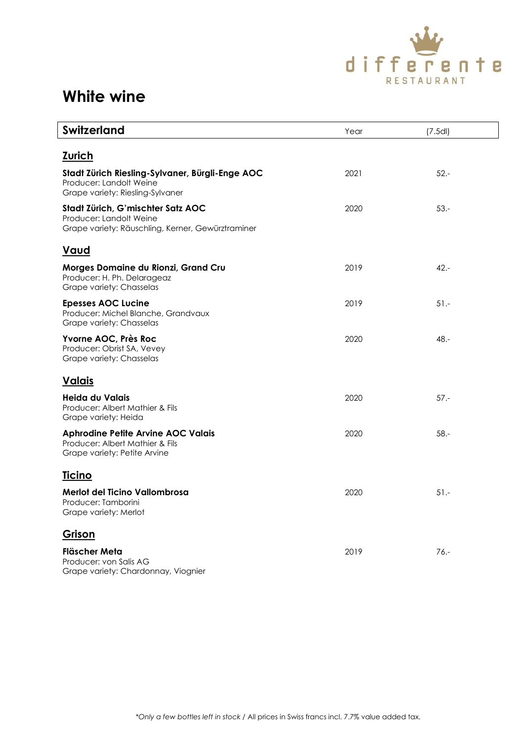

| <b>Switzerland</b>                                                                                                | Year | (7.5d)  |
|-------------------------------------------------------------------------------------------------------------------|------|---------|
| <b>Zurich</b>                                                                                                     |      |         |
| Stadt Zürich Riesling-Sylvaner, Bürgli-Enge AOC<br>Producer: Landolt Weine<br>Grape variety: Riesling-Sylvaner    | 2021 | $52 -$  |
| Stadt Zürich, G'mischter Satz AOC<br>Producer: Landolt Weine<br>Grape variety: Räuschling, Kerner, Gewürztraminer | 2020 | $53. -$ |
| Vaud                                                                                                              |      |         |
| Morges Domaine du Rionzi, Grand Cru<br>Producer: H. Ph. Delarageaz<br>Grape variety: Chasselas                    | 2019 | $42 -$  |
| <b>Epesses AOC Lucine</b><br>Producer: Michel Blanche, Grandvaux<br>Grape variety: Chasselas                      | 2019 | $51 -$  |
| Yvorne AOC, Près Roc<br>Producer: Obrist SA, Vevey<br>Grape variety: Chasselas                                    | 2020 | 48.-    |
| <u>Valais</u>                                                                                                     |      |         |
| Heida du Valais<br>Producer: Albert Mathier & Fils<br>Grape variety: Heida                                        | 2020 | $57 -$  |
| <b>Aphrodine Petite Arvine AOC Valais</b><br>Producer: Albert Mathier & Fils<br>Grape variety: Petite Arvine      | 2020 | $58. -$ |
| <b>Ticino</b>                                                                                                     |      |         |
| Merlot del Ticino Vallombrosa<br>Producer: Tamborini<br>Grape variety: Merlot                                     | 2020 | $51 -$  |
| Grison                                                                                                            |      |         |
| Fläscher Meta<br>Producer: von Salis AG<br>Grape variety: Chardonnay, Viognier                                    | 2019 | $76. -$ |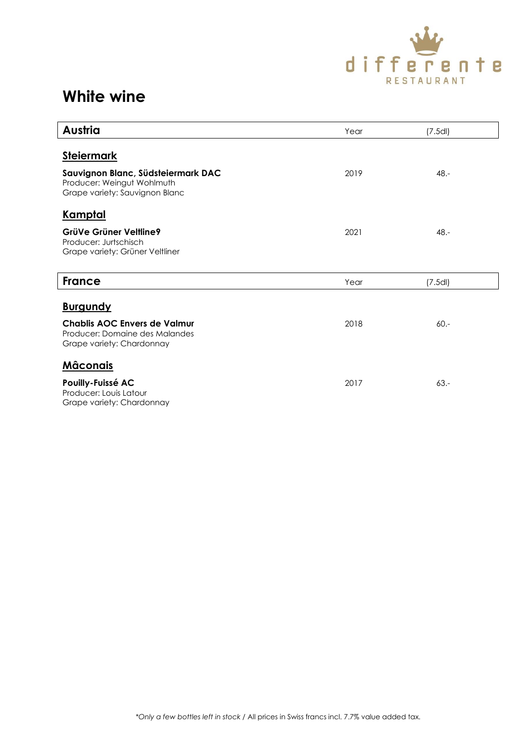

| Austria                                                                                            | Year | (7.5d)  |
|----------------------------------------------------------------------------------------------------|------|---------|
| <b>Steiermark</b>                                                                                  |      |         |
| Sauvignon Blanc, Südsteiermark DAC<br>Producer: Weingut Wohlmuth<br>Grape variety: Sauvignon Blanc | 2019 | $48. -$ |
| <u>Kamptal</u>                                                                                     |      |         |
| GrüVe Grüner Veltline9<br>Producer: Jurtschisch<br>Grape variety: Grüner Veltliner                 | 2021 | $48. -$ |
| <b>France</b>                                                                                      | Year | (7.5d)  |
| <b>Burgundy</b>                                                                                    |      |         |
| Chablis AOC Envers de Valmur<br>Producer: Domaine des Malandes<br>Grape variety: Chardonnay        | 2018 | $60 -$  |
| <u>Mâconais</u>                                                                                    |      |         |
| Pouilly-Fuissé AC<br>Producer: Louis Latour<br>Grape variety: Chardonnay                           | 2017 | $63 -$  |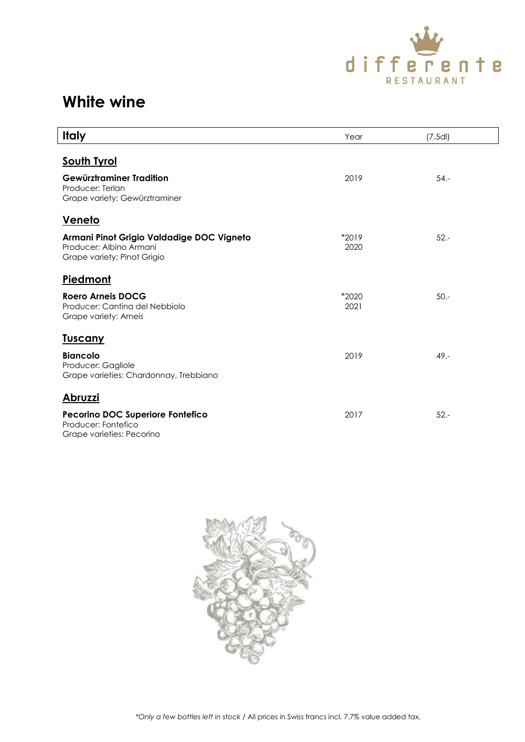

| <b>Italy</b>                                                                                        | Year          | (7.5d)  |
|-----------------------------------------------------------------------------------------------------|---------------|---------|
| <b>South Tyrol</b>                                                                                  |               |         |
| Gewürztraminer Tradition<br>Producer: Terlan<br>Grape variety: Gewürztraminer                       | 2019          | $54. -$ |
| <u>Veneto</u>                                                                                       |               |         |
| Armani Pinot Grigio Valdadige DOC Vigneto<br>Producer: Albino Armani<br>Grape variety: Pinot Grigio | *2019<br>2020 | $52 -$  |
| <b>Piedmont</b>                                                                                     |               |         |
| <b>Roero Arneis DOCG</b><br>Producer: Cantina del Nebbiolo<br>Grape variety: Arneis                 | *2020<br>2021 | $50. -$ |
| <u>Tuscany</u>                                                                                      |               |         |
| <b>Biancolo</b><br>Producer: Gagliole<br>Grape varieties: Chardonnay, Trebbiano                     | 2019          | 49.-    |
| <u>Abruzzi</u>                                                                                      |               |         |
| <b>Pecorino DOC Superiore Fontefico</b><br>Producer: Fontefico<br>Grape varieties: Pecorino         | 2017          | $52 -$  |

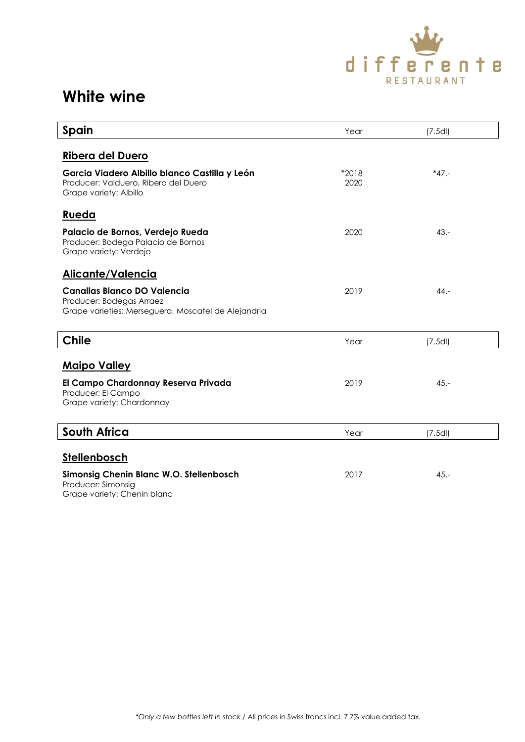

| Spain                                                                                                                 | Year          | (7.5d)   |  |
|-----------------------------------------------------------------------------------------------------------------------|---------------|----------|--|
| Ribera del Duero                                                                                                      |               |          |  |
| Garcia Viadero Albillo blanco Castilla y León<br>Producer: Valduero, Ribera del Duero<br>Grape variety: Albillo       | *2018<br>2020 | $*47. -$ |  |
| <u>Rueda</u>                                                                                                          |               |          |  |
| Palacio de Bornos, Verdejo Rueda<br>Producer: Bodega Palacio de Bornos<br>Grape variety: Verdejo                      | 2020          | $43 -$   |  |
| Alicante/Valencia                                                                                                     |               |          |  |
| <b>Canallas Blanco DO Valencia</b><br>Producer: Bodegas Arraez<br>Grape varieties: Merseguera, Moscatel de Alejandria | 2019          | $44. -$  |  |
| <b>Chile</b>                                                                                                          | Year          | (7.5d)   |  |
| <b>Maipo Valley</b>                                                                                                   |               |          |  |
| El Campo Chardonnay Reserva Privada<br>Producer: El Campo<br>Grape variety: Chardonnay                                | 2019          | $45. -$  |  |
| <b>South Africa</b>                                                                                                   | Year          | (7.5d)   |  |
| Stellenbosch                                                                                                          |               |          |  |
| Simonsig Chenin Blanc W.O. Stellenbosch<br>Producer: Simonsig<br>Grape variety: Chenin blanc                          | 2017          | $45. -$  |  |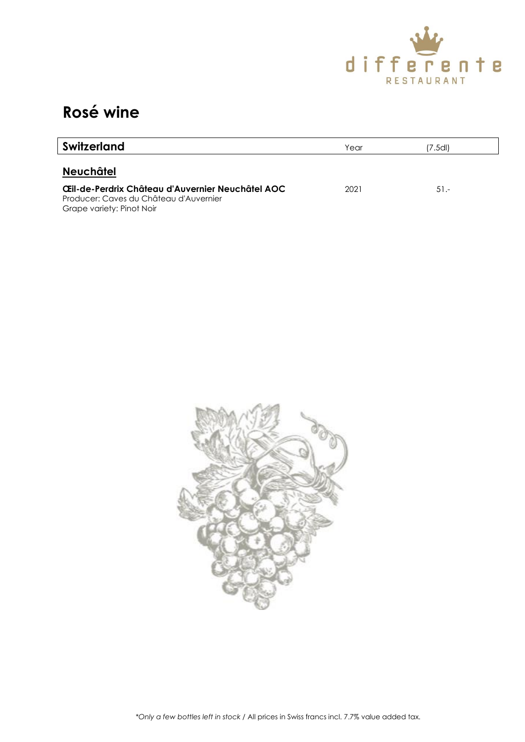

### **Rosé wine**

| <b>Switzerland</b>                                                                                                      | Year | 7.5dl) |  |
|-------------------------------------------------------------------------------------------------------------------------|------|--------|--|
| <b>Neuchâtel</b>                                                                                                        |      |        |  |
| Œil-de-Perdrix Château d'Auvernier Neuchâtel AOC<br>Producer: Caves du Château d'Auvernier<br>Grape variety: Pinot Noir | 2021 | $51 -$ |  |

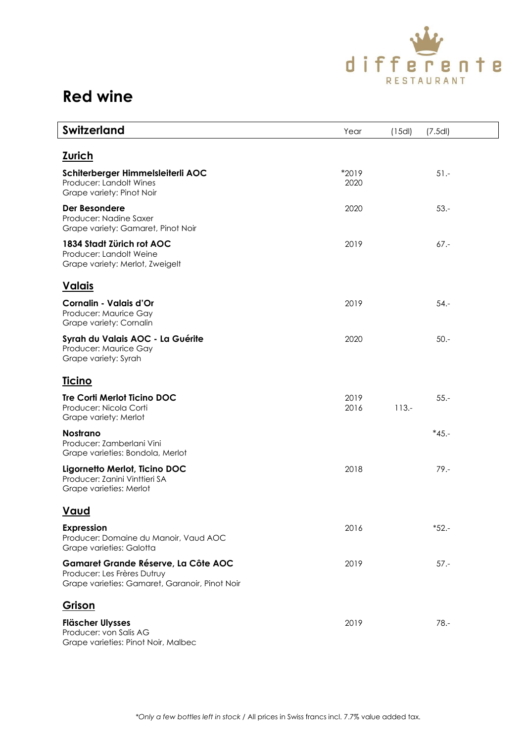![](_page_7_Picture_0.jpeg)

| <b>Switzerland</b>                                                                                                   | Year          | (15d)    | (7.5d)   |  |
|----------------------------------------------------------------------------------------------------------------------|---------------|----------|----------|--|
| <u>Zurich</u>                                                                                                        |               |          |          |  |
| Schiterberger Himmelsleiterli AOC<br>Producer: Landolt Wines<br>Grape variety: Pinot Noir                            | *2019<br>2020 |          | $51 -$   |  |
| Der Besondere<br>Producer: Nadine Saxer<br>Grape variety: Gamaret, Pinot Noir                                        | 2020          |          | $53. -$  |  |
| 1834 Stadt Zürich rot AOC<br>Producer: Landolt Weine<br>Grape variety: Merlot, Zweigelt                              | 2019          |          | $67. -$  |  |
| <u>Valais</u>                                                                                                        |               |          |          |  |
| Cornalin - Valais d'Or<br>Producer: Maurice Gay<br>Grape variety: Cornalin                                           | 2019          |          | $54. -$  |  |
| Syrah du Valais AOC - La Guérite<br>Producer: Maurice Gay<br>Grape variety: Syrah                                    | 2020          |          | $50. -$  |  |
| <u>Ticino</u>                                                                                                        |               |          |          |  |
| Tre Corti Merlot Ticino DOC<br>Producer: Nicola Corti<br>Grape variety: Merlot                                       | 2019<br>2016  | $113. -$ | $55. -$  |  |
| <b>Nostrano</b><br>Producer: Zamberlani Vini<br>Grape varieties: Bondola, Merlot                                     |               |          | $*45. -$ |  |
| Ligornetto Merlot, Ticino DOC<br>Producer: Zanini Vinttieri SA<br>Grape varieties: Merlot                            | 2018          |          | $79. -$  |  |
| <u>Vaud</u>                                                                                                          |               |          |          |  |
| <b>Expression</b><br>Producer: Domaine du Manoir, Vaud AOC<br>Grape varieties: Galotta                               | 2016          |          | $*52. -$ |  |
| Gamaret Grande Réserve, La Côte AOC<br>Producer: Les Frères Dutruy<br>Grape varieties: Gamaret, Garanoir, Pinot Noir | 2019          |          | $57. -$  |  |
| Grison                                                                                                               |               |          |          |  |
| <b>Fläscher Ulysses</b><br>Producer: von Salis AG<br>Grape varieties: Pinot Noir, Malbec                             | 2019          |          | $78. -$  |  |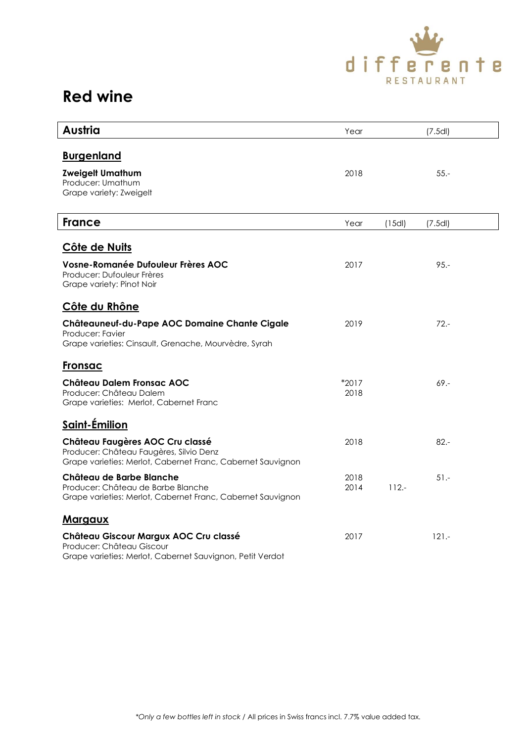![](_page_8_Picture_0.jpeg)

| Austria                                                                                                                                   | Year            |         | (7.5d)  |
|-------------------------------------------------------------------------------------------------------------------------------------------|-----------------|---------|---------|
| <b>Burgenland</b>                                                                                                                         |                 |         |         |
| <b>Zweigelt Umathum</b><br>Producer: Umathum<br>Grape variety: Zweigelt                                                                   | 2018            |         | $55. -$ |
| <b>France</b>                                                                                                                             | Year            | (15d)   | (7.5d)  |
| Côte de Nuits                                                                                                                             |                 |         |         |
| <b>Vosne-Romanée Dufouleur Frères AOC</b><br>Producer: Dufouleur Frères<br>Grape variety: Pinot Noir                                      | 2017            |         | $95 -$  |
| Côte du Rhône                                                                                                                             |                 |         |         |
| Châteauneuf-du-Pape AOC Domaine Chante Cigale<br>Producer: Favier<br>Grape varieties: Cinsault, Grenache, Mourvèdre, Syrah                | 2019            |         | $72 -$  |
| Fronsac                                                                                                                                   |                 |         |         |
| Château Dalem Fronsac AOC<br>Producer: Château Dalem<br>Grape varieties: Merlot, Cabernet Franc                                           | $*2017$<br>2018 |         | $69 -$  |
| Saint-Émilion                                                                                                                             |                 |         |         |
| Château Faugères AOC Cru classé<br>Producer: Château Faugères, Silvio Denz<br>Grape varieties: Merlot, Cabernet Franc, Cabernet Sauvignon | 2018            |         | $82 -$  |
| Château de Barbe Blanche<br>Producer: Château de Barbe Blanche<br>Grape varieties: Merlot, Cabernet Franc, Cabernet Sauvignon             | 2018<br>2014    | $112 -$ | $51 -$  |
| <u>Margaux</u>                                                                                                                            |                 |         |         |
| Château Giscour Margux AOC Cru classé<br>Producer: Château Giscour<br>Grape varieties: Merlot, Cabernet Sauvignon, Petit Verdot           | 2017            |         | $121 -$ |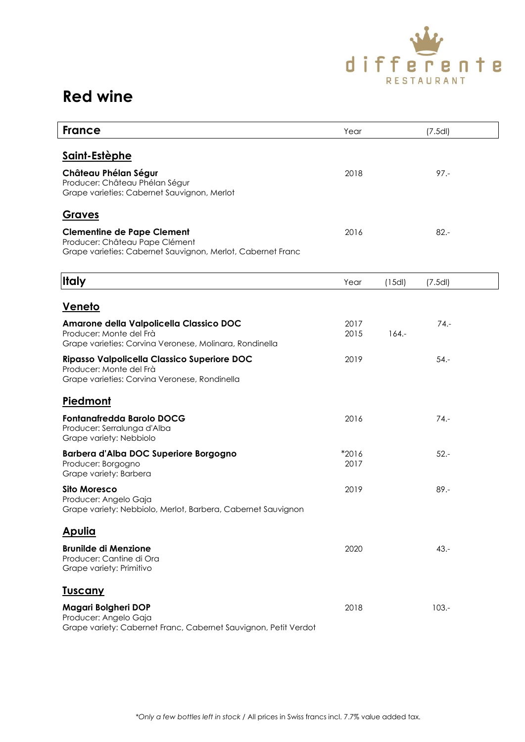![](_page_9_Picture_0.jpeg)

| <b>France</b>                                                                                                                      | Year            |          | (7.5d)   |  |
|------------------------------------------------------------------------------------------------------------------------------------|-----------------|----------|----------|--|
| <u>Saint-Estèphe</u>                                                                                                               |                 |          |          |  |
| Château Phélan Ségur<br>Producer: Château Phélan Ségur<br>Grape varieties: Cabernet Sauvignon, Merlot                              | 2018            |          | $97 -$   |  |
| Graves                                                                                                                             |                 |          |          |  |
| <b>Clementine de Pape Clement</b><br>Producer: Château Pape Clément<br>Grape varieties: Cabernet Sauvignon, Merlot, Cabernet Franc | 2016            |          | $82 -$   |  |
| <b>Italy</b>                                                                                                                       | Year            | (15d)    | (7.5d)   |  |
| <u>Veneto</u>                                                                                                                      |                 |          |          |  |
| Amarone della Valpolicella Classico DOC<br>Producer: Monte del Frà<br>Grape varieties: Corvina Veronese, Molinara, Rondinella      | 2017<br>2015    | $164. -$ | $74. -$  |  |
| Ripasso Valpolicella Classico Superiore DOC<br>Producer: Monte del Frà<br>Grape varieties: Corvina Veronese, Rondinella            | 2019            |          | $54. -$  |  |
| Piedmont                                                                                                                           |                 |          |          |  |
| <b>Fontanafredda Barolo DOCG</b><br>Producer: Serralunga d'Alba<br>Grape variety: Nebbiolo                                         | 2016            |          | $74. -$  |  |
| Barbera d'Alba DOC Superiore Borgogno<br>Producer: Borgogno<br>Grape variety: Barbera                                              | $*2016$<br>2017 |          | $52 -$   |  |
| <b>Sito Moresco</b><br>Producer: Angelo Gaja<br>Grape variety: Nebbiolo, Merlot, Barbera, Cabernet Sauvignon                       | 2019            |          | $89. -$  |  |
| <u>Apulia</u>                                                                                                                      |                 |          |          |  |
| <b>Brunilde di Menzione</b><br>Producer: Cantine di Ora<br>Grape variety: Primitivo                                                | 2020            |          | $43. -$  |  |
| <u>Tuscany</u>                                                                                                                     |                 |          |          |  |
| Magari Bolgheri DOP<br>Producer: Angelo Gaja<br>Grape variety: Cabernet Franc, Cabernet Sauvignon, Petit Verdot                    | 2018            |          | $103. -$ |  |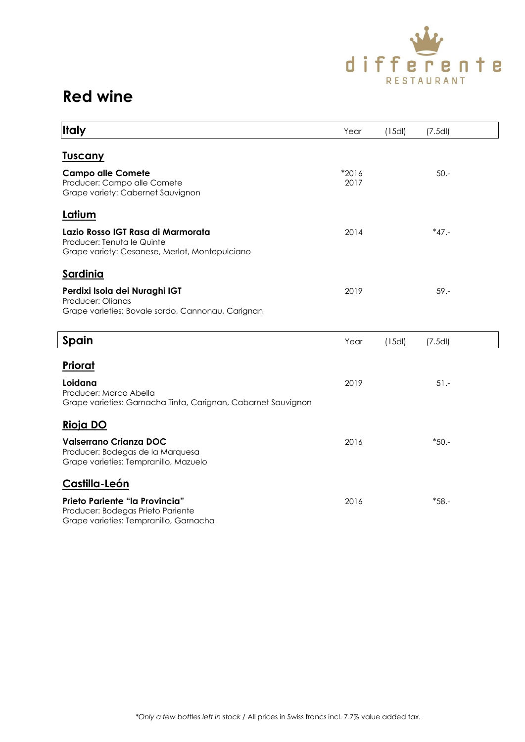![](_page_10_Picture_0.jpeg)

| <b>Italy</b>                                                                                                         | Year            | (15d) | (7.5d)   |  |
|----------------------------------------------------------------------------------------------------------------------|-----------------|-------|----------|--|
|                                                                                                                      |                 |       |          |  |
| <u>Tuscany</u>                                                                                                       |                 |       |          |  |
| <b>Campo alle Comete</b><br>Producer: Campo alle Comete<br>Grape variety: Cabernet Sauvignon                         | $*2016$<br>2017 |       | $50 -$   |  |
| Latium                                                                                                               |                 |       |          |  |
| Lazio Rosso IGT Rasa di Marmorata<br>Producer: Tenuta le Quinte<br>Grape variety: Cesanese, Merlot, Montepulciano    | 2014            |       | $*47. -$ |  |
| <b>Sardinia</b>                                                                                                      |                 |       |          |  |
| Perdixi Isola dei Nuraghi IGT<br>Producer: Olianas<br>Grape varieties: Bovale sardo, Cannonau, Carignan              | 2019            |       | $59. -$  |  |
| Spain                                                                                                                | Year            | (15d) | (7.5d)   |  |
| Priorat<br>Loidana                                                                                                   | 2019            |       | $51 -$   |  |
| Producer: Marco Abella<br>Grape varieties: Garnacha Tinta, Carignan, Cabarnet Sauvignon                              |                 |       |          |  |
| <u>Rioja DO</u>                                                                                                      |                 |       |          |  |
| <b>Valserrano Crianza DOC</b><br>Producer: Bodegas de la Marquesa<br>Grape varieties: Tempranillo, Mazuelo           | 2016            |       | $*50. -$ |  |
| Castilla-León                                                                                                        |                 |       |          |  |
| <b>Prieto Pariente "la Provincia"</b><br>Producer: Bodegas Prieto Pariente<br>Grape varieties: Tempranillo, Garnacha | 2016            |       | $*58. -$ |  |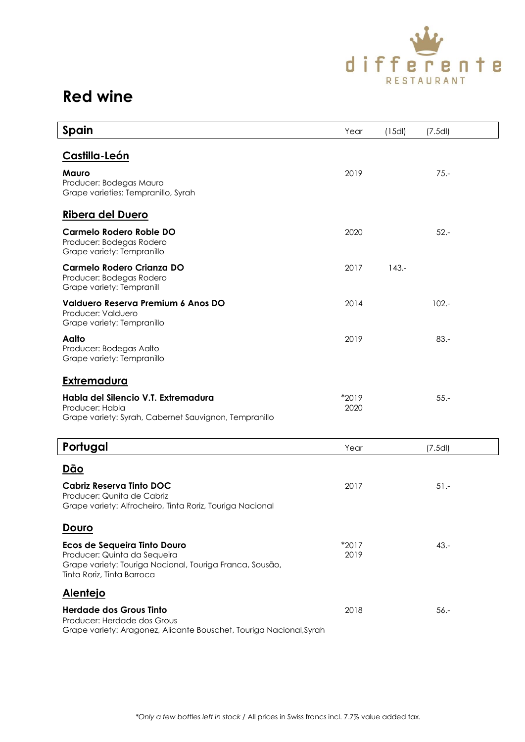![](_page_11_Picture_0.jpeg)

| Spain                                                                                                                                                  | Year          | (15d)    | (7.5d)   |  |
|--------------------------------------------------------------------------------------------------------------------------------------------------------|---------------|----------|----------|--|
| Castilla-León                                                                                                                                          |               |          |          |  |
| <b>Mauro</b><br>Producer: Bodegas Mauro<br>Grape varieties: Tempranillo, Syrah                                                                         | 2019          |          | $75. -$  |  |
| <b>Ribera del Duero</b>                                                                                                                                |               |          |          |  |
| <b>Carmelo Rodero Roble DO</b><br>Producer: Bodegas Rodero<br>Grape variety: Tempranillo                                                               | 2020          |          | $52 -$   |  |
| <b>Carmelo Rodero Crianza DO</b><br>Producer: Bodegas Rodero<br>Grape variety: Tempranill                                                              | 2017          | $143. -$ |          |  |
| Valduero Reserva Premium 6 Anos DO<br>Producer: Valduero<br>Grape variety: Tempranillo                                                                 | 2014          |          | $102. -$ |  |
| Aalto<br>Producer: Bodegas Aalto<br>Grape variety: Tempranillo                                                                                         | 2019          |          | $83 -$   |  |
| <u>Extremadura</u>                                                                                                                                     |               |          |          |  |
| Habla del Silencio V.T. Extremadura<br>Producer: Habla<br>Grape variety: Syrah, Cabernet Sauvignon, Tempranillo                                        | *2019<br>2020 |          | $55 -$   |  |
| Portugal                                                                                                                                               | Year          |          | (7.5d)   |  |
| <u>Dão</u>                                                                                                                                             |               |          |          |  |
| Cabriz Reserva Tinto DOC<br>Producer: Qunita de Cabriz<br>Grape variety: Alfrocheiro, Tinta Roriz, Touriga Nacional                                    | 2017          |          | $51 -$   |  |
| <u>Douro</u>                                                                                                                                           |               |          |          |  |
| Ecos de Sequeira Tinto Douro<br>Producer: Quinta da Sequeira<br>Grape variety: Touriga Nacional, Touriga Franca, Sousão,<br>Tinta Roriz, Tinta Barroca | *2017<br>2019 |          | $43. -$  |  |
| <b>Alentejo</b>                                                                                                                                        |               |          |          |  |
| <b>Herdade dos Grous Tinto</b><br>Producer: Herdade dos Grous<br>Grape variety: Aragonez, Alicante Bouschet, Touriga Nacional, Syrah                   | 2018          |          | $56. -$  |  |